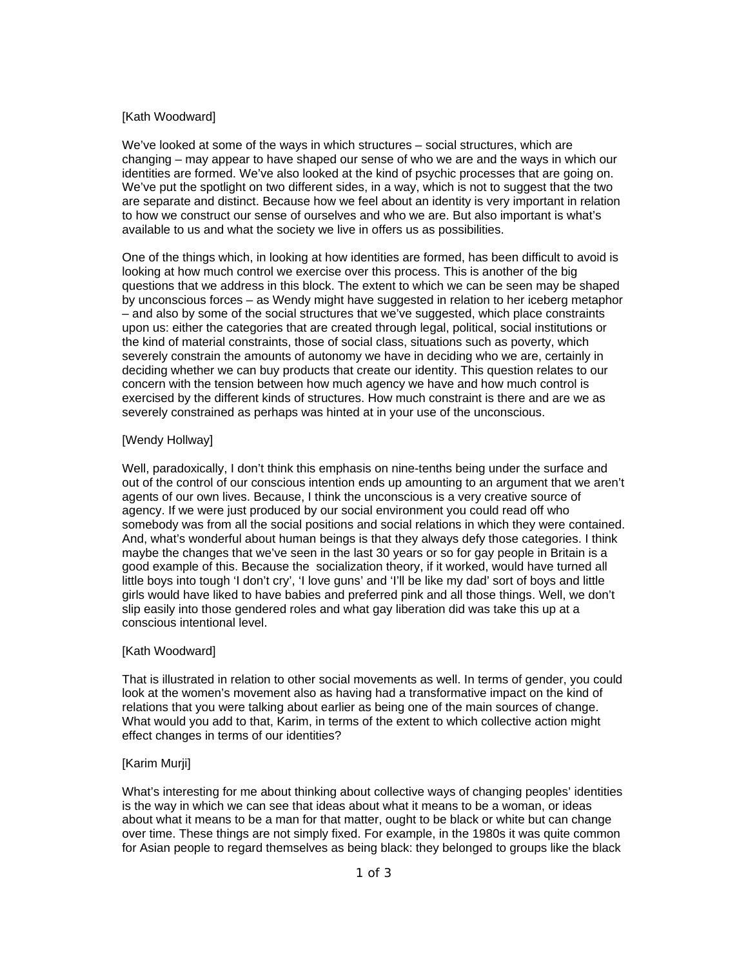# [Kath Woodward]

We've looked at some of the ways in which structures – social structures, which are changing – may appear to have shaped our sense of who we are and the ways in which our identities are formed. We've also looked at the kind of psychic processes that are going on. We've put the spotlight on two different sides, in a way, which is not to suggest that the two are separate and distinct. Because how we feel about an identity is very important in relation to how we construct our sense of ourselves and who we are. But also important is what's available to us and what the society we live in offers us as possibilities.

One of the things which, in looking at how identities are formed, has been difficult to avoid is looking at how much control we exercise over this process. This is another of the big questions that we address in this block. The extent to which we can be seen may be shaped by unconscious forces – as Wendy might have suggested in relation to her iceberg metaphor – and also by some of the social structures that we've suggested, which place constraints upon us: either the categories that are created through legal, political, social institutions or the kind of material constraints, those of social class, situations such as poverty, which severely constrain the amounts of autonomy we have in deciding who we are, certainly in deciding whether we can buy products that create our identity. This question relates to our concern with the tension between how much agency we have and how much control is exercised by the different kinds of structures. How much constraint is there and are we as severely constrained as perhaps was hinted at in your use of the unconscious.

# [Wendy Hollway]

Well, paradoxically, I don't think this emphasis on nine-tenths being under the surface and out of the control of our conscious intention ends up amounting to an argument that we aren't agents of our own lives. Because, I think the unconscious is a very creative source of agency. If we were just produced by our social environment you could read off who somebody was from all the social positions and social relations in which they were contained. And, what's wonderful about human beings is that they always defy those categories. I think maybe the changes that we've seen in the last 30 years or so for gay people in Britain is a good example of this. Because the socialization theory, if it worked, would have turned all little boys into tough 'I don't cry', 'I love guns' and 'I'll be like my dad' sort of boys and little girls would have liked to have babies and preferred pink and all those things. Well, we don't slip easily into those gendered roles and what gay liberation did was take this up at a conscious intentional level.

# [Kath Woodward]

That is illustrated in relation to other social movements as well. In terms of gender, you could look at the women's movement also as having had a transformative impact on the kind of relations that you were talking about earlier as being one of the main sources of change. What would you add to that, Karim, in terms of the extent to which collective action might effect changes in terms of our identities?

# [Karim Murji]

What's interesting for me about thinking about collective ways of changing peoples' identities is the way in which we can see that ideas about what it means to be a woman, or ideas about what it means to be a man for that matter, ought to be black or white but can change over time. These things are not simply fixed. For example, in the 1980s it was quite common for Asian people to regard themselves as being black: they belonged to groups like the black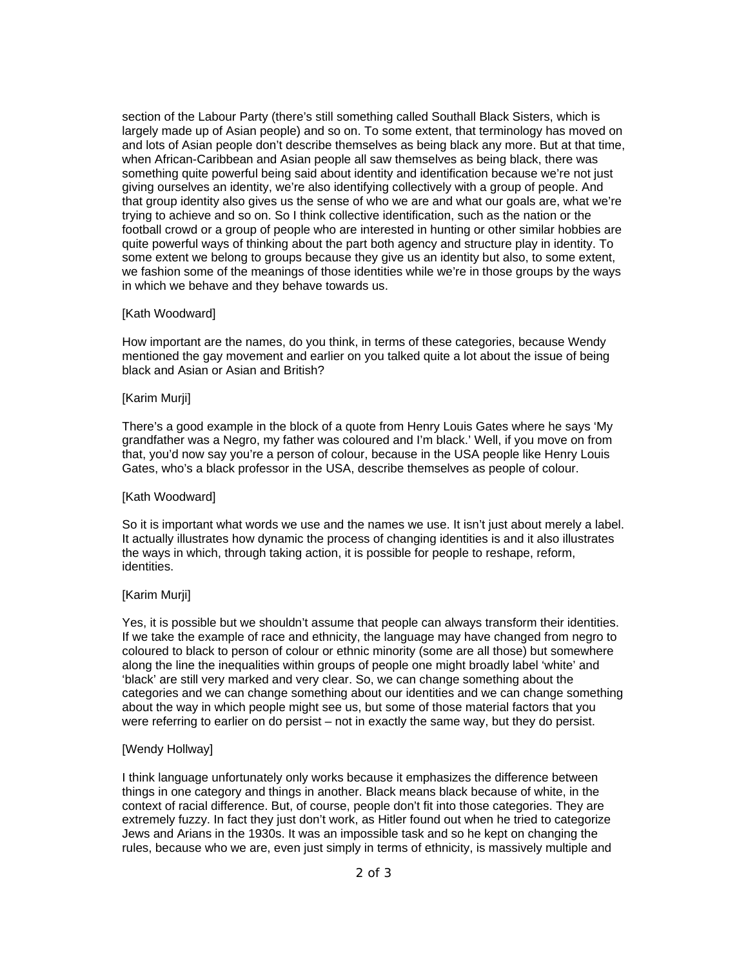section of the Labour Party (there's still something called Southall Black Sisters, which is largely made up of Asian people) and so on. To some extent, that terminology has moved on and lots of Asian people don't describe themselves as being black any more. But at that time, when African-Caribbean and Asian people all saw themselves as being black, there was something quite powerful being said about identity and identification because we're not just giving ourselves an identity, we're also identifying collectively with a group of people. And that group identity also gives us the sense of who we are and what our goals are, what we're trying to achieve and so on. So I think collective identification, such as the nation or the football crowd or a group of people who are interested in hunting or other similar hobbies are quite powerful ways of thinking about the part both agency and structure play in identity. To some extent we belong to groups because they give us an identity but also, to some extent, we fashion some of the meanings of those identities while we're in those groups by the ways in which we behave and they behave towards us.

#### [Kath Woodward]

How important are the names, do you think, in terms of these categories, because Wendy mentioned the gay movement and earlier on you talked quite a lot about the issue of being black and Asian or Asian and British?

### [Karim Murji]

There's a good example in the block of a quote from Henry Louis Gates where he says 'My grandfather was a Negro, my father was coloured and I'm black.' Well, if you move on from that, you'd now say you're a person of colour, because in the USA people like Henry Louis Gates, who's a black professor in the USA, describe themselves as people of colour.

#### [Kath Woodward]

So it is important what words we use and the names we use. It isn't just about merely a label. It actually illustrates how dynamic the process of changing identities is and it also illustrates the ways in which, through taking action, it is possible for people to reshape, reform, identities.

## [Karim Murji]

Yes, it is possible but we shouldn't assume that people can always transform their identities. If we take the example of race and ethnicity, the language may have changed from negro to coloured to black to person of colour or ethnic minority (some are all those) but somewhere along the line the inequalities within groups of people one might broadly label 'white' and 'black' are still very marked and very clear. So, we can change something about the categories and we can change something about our identities and we can change something about the way in which people might see us, but some of those material factors that you were referring to earlier on do persist – not in exactly the same way, but they do persist.

#### [Wendy Hollway]

I think language unfortunately only works because it emphasizes the difference between things in one category and things in another. Black means black because of white, in the context of racial difference. But, of course, people don't fit into those categories. They are extremely fuzzy. In fact they just don't work, as Hitler found out when he tried to categorize Jews and Arians in the 1930s. It was an impossible task and so he kept on changing the rules, because who we are, even just simply in terms of ethnicity, is massively multiple and